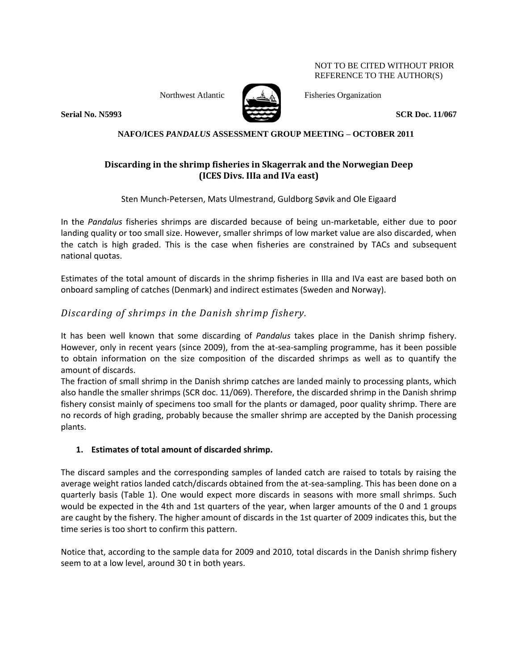NOT TO BE CITED WITHOUT PRIOR REFERENCE TO THE AUTHOR(S)



Northwest Atlantic Fisheries Organization

**Serial No. N5993 SCR Doc. 11/067**

### **NAFO/ICES** *PANDALUS* **ASSESSMENT GROUP MEETING – OCTOBER 2011**

## **Discarding in the shrimp fisheries in Skagerrak and the Norwegian Deep (ICES Divs. IIIa and IVa east)**

Sten Munch-Petersen, Mats Ulmestrand, Guldborg Søvik and Ole Eigaard

In the *Pandalus* fisheries shrimps are discarded because of being un-marketable, either due to poor landing quality or too small size. However, smaller shrimps of low market value are also discarded, when the catch is high graded. This is the case when fisheries are constrained by TACs and subsequent national quotas.

Estimates of the total amount of discards in the shrimp fisheries in IIIa and IVa east are based both on onboard sampling of catches (Denmark) and indirect estimates (Sweden and Norway).

# *Discarding of shrimps in the Danish shrimp fishery.*

It has been well known that some discarding of *Pandalus* takes place in the Danish shrimp fishery. However, only in recent years (since 2009), from the at-sea-sampling programme, has it been possible to obtain information on the size composition of the discarded shrimps as well as to quantify the amount of discards.

The fraction of small shrimp in the Danish shrimp catches are landed mainly to processing plants, which also handle the smaller shrimps (SCR doc. 11/069). Therefore, the discarded shrimp in the Danish shrimp fishery consist mainly of specimens too small for the plants or damaged, poor quality shrimp. There are no records of high grading, probably because the smaller shrimp are accepted by the Danish processing plants.

## **1. Estimates of total amount of discarded shrimp.**

The discard samples and the corresponding samples of landed catch are raised to totals by raising the average weight ratios landed catch/discards obtained from the at-sea-sampling. This has been done on a quarterly basis (Table 1). One would expect more discards in seasons with more small shrimps. Such would be expected in the 4th and 1st quarters of the year, when larger amounts of the 0 and 1 groups are caught by the fishery. The higher amount of discards in the 1st quarter of 2009 indicates this, but the time series is too short to confirm this pattern.

Notice that, according to the sample data for 2009 and 2010, total discards in the Danish shrimp fishery seem to at a low level, around 30 t in both years.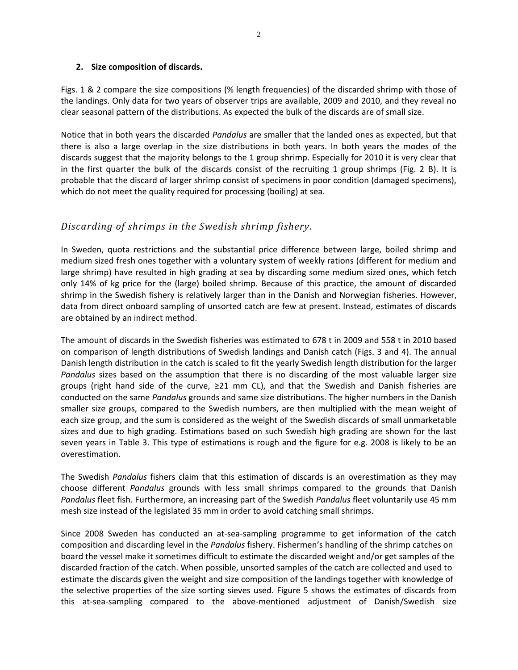#### **2. Size composition of discards.**

Figs. 1 & 2 compare the size compositions (% length frequencies) of the discarded shrimp with those of the landings. Only data for two years of observer trips are available, 2009 and 2010, and they reveal no clear seasonal pattern of the distributions. As expected the bulk of the discards are of small size.

Notice that in both years the discarded *Pandalus* are smaller that the landed ones as expected, but that there is also a large overlap in the size distributions in both years. In both years the modes of the discards suggest that the majority belongs to the 1 group shrimp. Especially for 2010 it is very clear that in the first quarter the bulk of the discards consist of the recruiting 1 group shrimps (Fig. 2 B). It is probable that the discard of larger shrimp consist of specimens in poor condition (damaged specimens), which do not meet the quality required for processing (boiling) at sea.

# *Discarding of shrimps in the Swedish shrimp fishery.*

In Sweden, quota restrictions and the substantial price difference between large, boiled shrimp and medium sized fresh ones together with a voluntary system of weekly rations (different for medium and large shrimp) have resulted in high grading at sea by discarding some medium sized ones, which fetch only 14% of kg price for the (large) boiled shrimp. Because of this practice, the amount of discarded shrimp in the Swedish fishery is relatively larger than in the Danish and Norwegian fisheries. However, data from direct onboard sampling of unsorted catch are few at present. Instead, estimates of discards are obtained by an indirect method.

The amount of discards in the Swedish fisheries was estimated to 678 t in 2009 and 558 t in 2010 based on comparison of length distributions of Swedish landings and Danish catch (Figs. 3 and 4). The annual Danish length distribution in the catch is scaled to fit the yearly Swedish length distribution for the larger *Pandalus* sizes based on the assumption that there is no discarding of the most valuable larger size groups (right hand side of the curve, ≥21 mm CL), and that the Swedish and Danish fisheries are conducted on the same *Pandalus* grounds and same size distributions. The higher numbers in the Danish smaller size groups, compared to the Swedish numbers, are then multiplied with the mean weight of each size group, and the sum is considered as the weight of the Swedish discards of small unmarketable sizes and due to high grading. Estimations based on such Swedish high grading are shown for the last seven years in Table 3. This type of estimations is rough and the figure for e.g. 2008 is likely to be an overestimation.

The Swedish *Pandalus* fishers claim that this estimation of discards is an overestimation as they may choose different *Pandalus* grounds with less small shrimps compared to the grounds that Danish *Pandalus* fleet fish. Furthermore, an increasing part of the Swedish *Pandalus* fleet voluntarily use 45 mm mesh size instead of the legislated 35 mm in order to avoid catching small shrimps.

Since 2008 Sweden has conducted an at‐sea‐sampling programme to get information of the catch composition and discarding level in the *Pandalus* fishery. Fishermen's handling of the shrimp catches on board the vessel make it sometimes difficult to estimate the discarded weight and/or get samples of the discarded fraction of the catch. When possible, unsorted samples of the catch are collected and used to estimate the discards given the weight and size composition of the landings together with knowledge of the selective properties of the size sorting sieves used. Figure 5 shows the estimates of discards from this at‐sea‐sampling compared to the above‐mentioned adjustment of Danish/Swedish size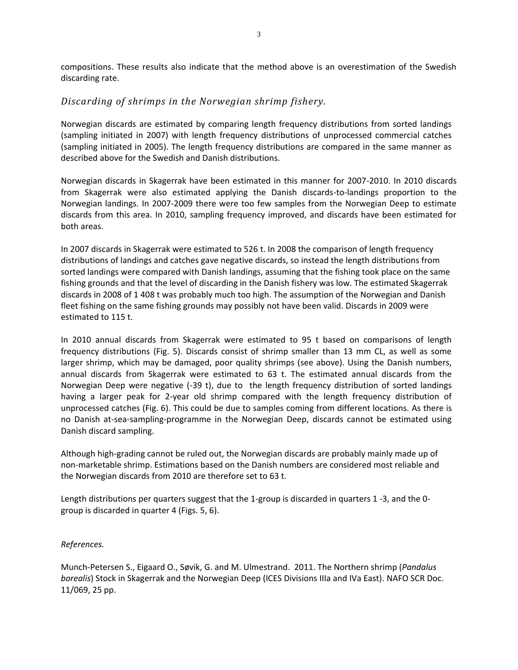compositions. These results also indicate that the method above is an overestimation of the Swedish discarding rate.

## *Discarding of shrimps in the Norwegian shrimp fishery.*

Norwegian discards are estimated by comparing length frequency distributions from sorted landings (sampling initiated in 2007) with length frequency distributions of unprocessed commercial catches (sampling initiated in 2005). The length frequency distributions are compared in the same manner as described above for the Swedish and Danish distributions.

Norwegian discards in Skagerrak have been estimated in this manner for 2007-2010. In 2010 discards from Skagerrak were also estimated applying the Danish discards-to-landings proportion to the Norwegian landings. In 2007-2009 there were too few samples from the Norwegian Deep to estimate discards from this area. In 2010, sampling frequency improved, and discards have been estimated for both areas.

In 2007 discards in Skagerrak were estimated to 526 t. In 2008 the comparison of length frequency distributions of landings and catches gave negative discards, so instead the length distributions from sorted landings were compared with Danish landings, assuming that the fishing took place on the same fishing grounds and that the level of discarding in the Danish fishery was low. The estimated Skagerrak discards in 2008 of 1 408 t was probably much too high. The assumption of the Norwegian and Danish fleet fishing on the same fishing grounds may possibly not have been valid. Discards in 2009 were estimated to 115 t.

In 2010 annual discards from Skagerrak were estimated to 95 t based on comparisons of length frequency distributions (Fig. 5). Discards consist of shrimp smaller than 13 mm CL, as well as some larger shrimp, which may be damaged, poor quality shrimps (see above). Using the Danish numbers, annual discards from Skagerrak were estimated to 63 t. The estimated annual discards from the Norwegian Deep were negative (-39 t), due to the length frequency distribution of sorted landings having a larger peak for 2-year old shrimp compared with the length frequency distribution of unprocessed catches (Fig. 6). This could be due to samples coming from different locations. As there is no Danish at-sea-sampling-programme in the Norwegian Deep, discards cannot be estimated using Danish discard sampling.

Although high-grading cannot be ruled out, the Norwegian discards are probably mainly made up of non-marketable shrimp. Estimations based on the Danish numbers are considered most reliable and the Norwegian discards from 2010 are therefore set to 63 t.

Length distributions per quarters suggest that the 1-group is discarded in quarters 1 -3, and the 0 group is discarded in quarter 4 (Figs. 5, 6).

#### *References.*

Munch-Petersen S., Eigaard O., Søvik, G. and M. Ulmestrand. 2011. The Northern shrimp (*Pandalus borealis*) Stock in Skagerrak and the Norwegian Deep (ICES Divisions IIIa and IVa East). NAFO SCR Doc. 11/069, 25 pp.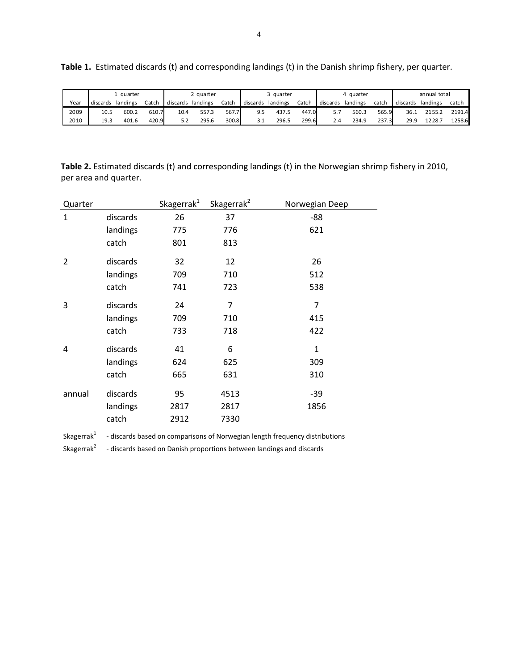|      | L auarter |          |       | 2 quarter         |       |       | 3 quarter         |       |       | 4 quarter |          |       | an nual tot al |          |        |
|------|-----------|----------|-------|-------------------|-------|-------|-------------------|-------|-------|-----------|----------|-------|----------------|----------|--------|
| Year | discards  | landings | Catch | discards landings |       | Catch | discards landings |       | Catch | discards  | landings | catch | discards       | landings | catch  |
| 2009 | 10.5      | 600.2    | 610.7 | 10.4              | 557.3 | 567.7 | 9.5               | 437.5 | 447.0 | 5.7       | 560.3    | 565.9 | 36.1           | 2155.2   | 2191.4 |
| 2010 | 19.3      | 401.6    | 420.9 | 5.2               | 295.6 | 300.8 | 3.1               | 296.5 | 299.6 | 2.4       | 234.9    | 237.3 | 29.9           | 1228.7   | 1258.6 |

**Table 1.** Estimated discards (t) and corresponding landings (t) in the Danish shrimp fishery, per quarter.

**Table 2.** Estimated discards (t) and corresponding landings (t) in the Norwegian shrimp fishery in 2010, per area and quarter.

| Quarter        |          | Skagerrak <sup>1</sup> | Skagerrak <sup>2</sup> | Norwegian Deep |
|----------------|----------|------------------------|------------------------|----------------|
| $\mathbf{1}$   | discards | 26                     | 37                     | -88            |
|                | landings | 775                    | 776                    | 621            |
|                | catch    | 801                    | 813                    |                |
| $\overline{2}$ | discards | 32                     | 12                     | 26             |
|                | landings | 709                    | 710                    | 512            |
|                | catch    | 741                    | 723                    | 538            |
| 3              | discards | 24                     | $\overline{7}$         | $\overline{7}$ |
|                | landings | 709                    | 710                    | 415            |
|                | catch    | 733                    | 718                    | 422            |
| 4              | discards | 41                     | 6                      | $\mathbf{1}$   |
|                | landings | 624                    | 625                    | 309            |
|                | catch    | 665                    | 631                    | 310            |
| annual         | discards | 95                     | 4513                   | $-39$          |
|                | landings | 2817                   | 2817                   | 1856           |
|                | catch    | 2912                   | 7330                   |                |

Skagerra $k^1$ - discards based on comparisons of Norwegian length frequency distributions

Skagerrak<sup>2</sup> - discards based on Danish proportions between landings and discards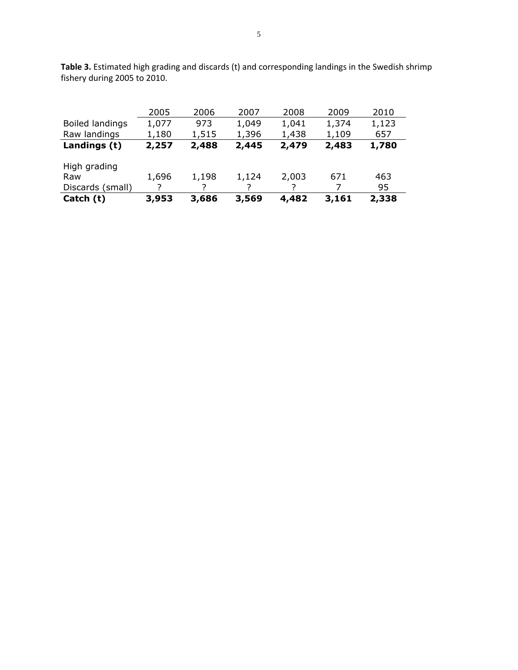|                        | 2005  | 2006  | 2007  | 2008  | 2009  | 2010  |
|------------------------|-------|-------|-------|-------|-------|-------|
| <b>Boiled landings</b> | 1,077 | 973   | 1,049 | 1,041 | 1,374 | 1,123 |
| Raw landings           | 1,180 | 1,515 | 1,396 | 1,438 | 1,109 | 657   |
| Landings (t)           | 2,257 | 2,488 | 2,445 | 2,479 | 2,483 | 1,780 |
|                        |       |       |       |       |       |       |
| High grading           |       |       |       |       |       |       |
| Raw                    | 1,696 | 1,198 | 1,124 | 2,003 | 671   | 463   |
| Discards (small)       |       |       |       |       |       | 95    |
| Catch (t)              | 3,953 | 3,686 | 3,569 | 4,482 | 3,161 | 2,338 |

**Table 3.** Estimated high grading and discards (t) and corresponding landings in the Swedish shrimp fishery during 2005 to 2010.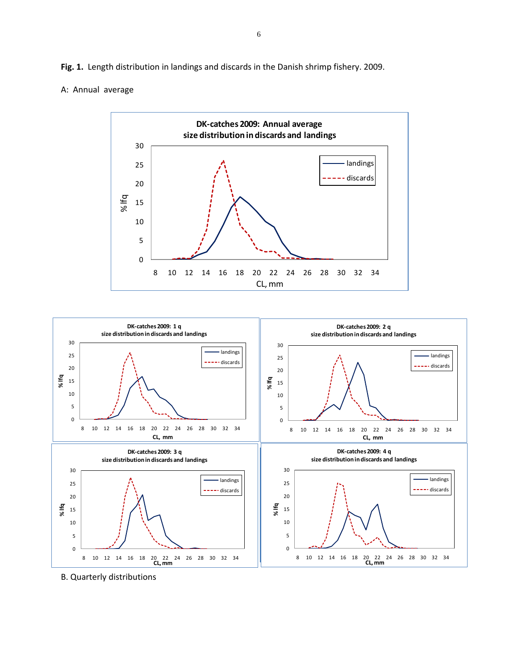**Fig. 1.** Length distribution in landings and discards in the Danish shrimp fishery. 2009.

#### A: Annual average





B. Quarterly distributions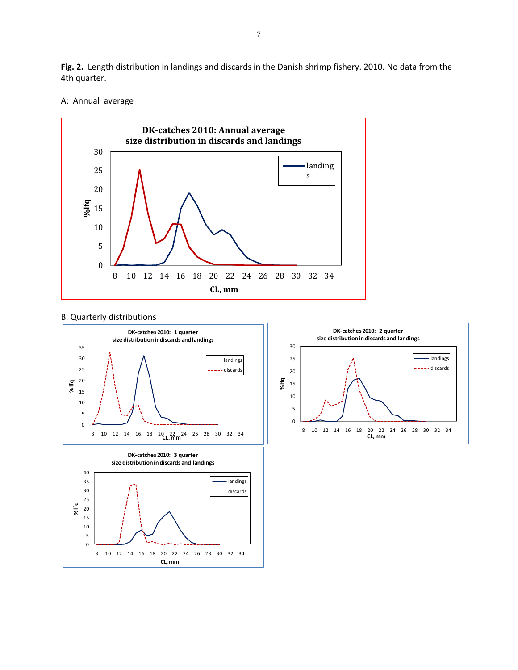**Fig. 2.** Length distribution in landings and discards in the Danish shrimp fishery. 2010. No data from the 4th quarter.

#### A: Annual average



#### B. Quarterly distributions

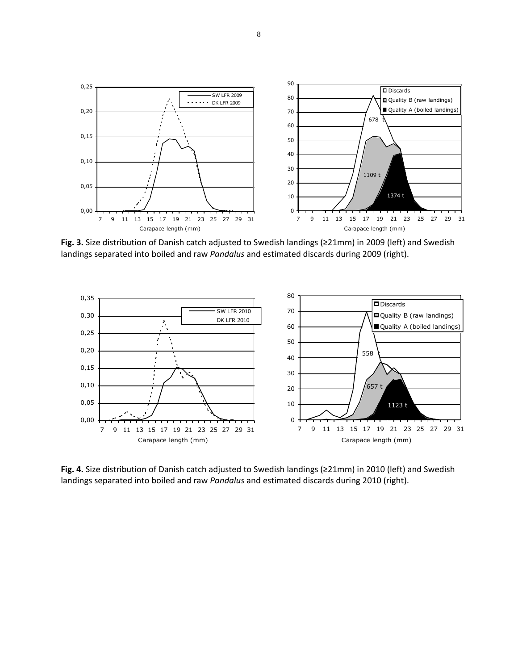

**Fig. 3.** Size distribution of Danish catch adjusted to Swedish landings (≥21mm) in 2009 (left) and Swedish landings separated into boiled and raw *Pandalus* and estimated discards during 2009 (right).



**Fig. 4.** Size distribution of Danish catch adjusted to Swedish landings (≥21mm) in 2010 (left) and Swedish landings separated into boiled and raw *Pandalus* and estimated discards during 2010 (right).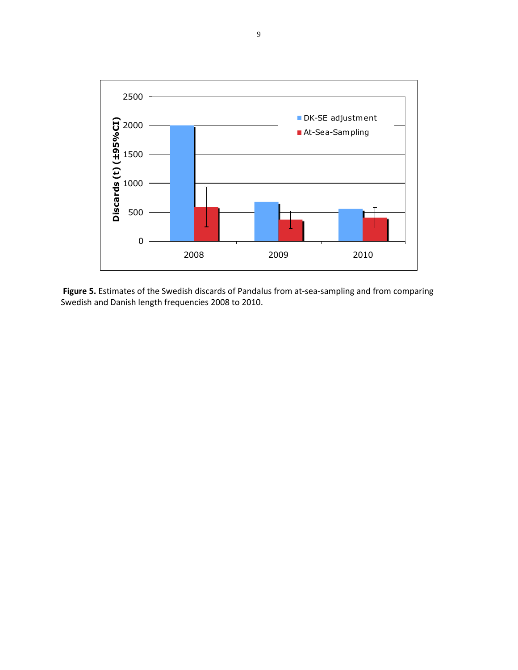

Figure 5. Estimates of the Swedish discards of Pandalus from at-sea-sampling and from comparing Swedish and Danish length frequencies 2008 to 2010.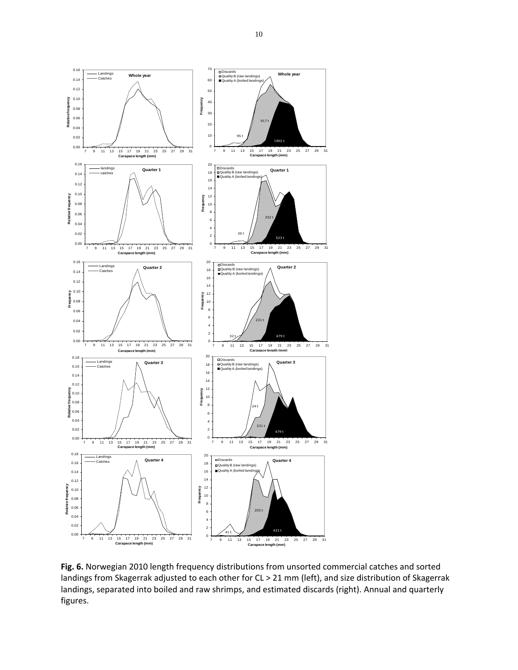

**Fig. 6.** Norwegian 2010 length frequency distributions from unsorted commercial catches and sorted landings from Skagerrak adjusted to each other for CL > 21 mm (left), and size distribution of Skagerrak landings, separated into boiled and raw shrimps, and estimated discards (right). Annual and quarterly figures.